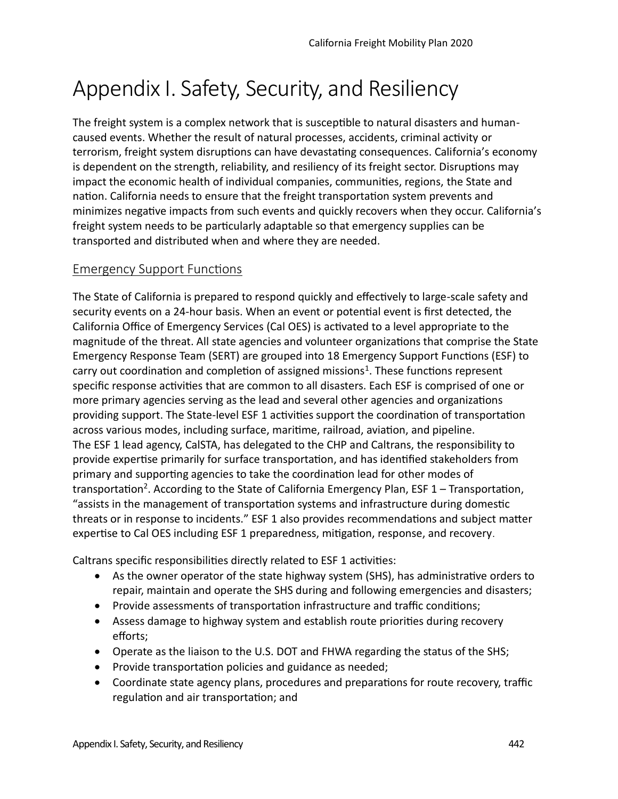# Appendix I. Safety, Security, and Resiliency

The freight system is a complex network that is susceptible to natural disasters and humancaused events. Whether the result of natural processes, accidents, criminal actvity or terrorism, freight system disruptions can have devastating consequences. California's economy is dependent on the strength, reliability, and resiliency of its freight sector. Disruptions may impact the economic health of individual companies, communites, regions, the State and nation. California needs to ensure that the freight transportation system prevents and minimizes negative impacts from such events and quickly recovers when they occur. California's freight system needs to be partcularly adaptable so that emergency supplies can be transported and distributed when and where they are needed.

# **Emergency Support Functions**

The State of California is prepared to respond quickly and efectvely to large-scale safety and security events on a 24-hour basis. When an event or potental event is frst detected, the California Office of Emergency Services (Cal OES) is activated to a level appropriate to the magnitude of the threat. All state agencies and volunteer organizatons that comprise the State Emergency Response Team (SERT) are grouped into 18 Emergency Support Functons (ESF) to carry out coordination and completion of assigned missions<sup>1</sup>. These functions represent specifc response actvites that are common to all disasters. Each ESF is comprised of one or more primary agencies serving as the lead and several other agencies and organizatons providing support. The State-level ESF 1 actvites support the coordinaton of transportaton across various modes, including surface, maritime, railroad, aviation, and pipeline. The ESF 1 lead agency, CalSTA, has delegated to the CHP and Caltrans, the responsibility to provide expertise primarily for surface transportation, and has identified stakeholders from primary and supportng agencies to take the coordinaton lead for other modes of transportation<sup>2</sup>. According to the State of California Emergency Plan, ESF 1 – Transportation, "assists in the management of transportation systems and infrastructure during domestic threats or in response to incidents." ESF 1 also provides recommendations and subject matter expertise to Cal OES including ESF 1 preparedness, mitigation, response, and recovery.

Caltrans specific responsibilities directly related to ESF 1 activities:

- As the owner operator of the state highway system (SHS), has administrative orders to repair, maintain and operate the SHS during and following emergencies and disasters;
- Provide assessments of transportation infrastructure and traffic conditions;
- Assess damage to highway system and establish route priorities during recovery efforts;
- Operate as the liaison to the U.S. DOT and FHWA regarding the status of the SHS;
- Provide transportation policies and guidance as needed;
- Coordinate state agency plans, procedures and preparations for route recovery, traffic regulation and air transportation; and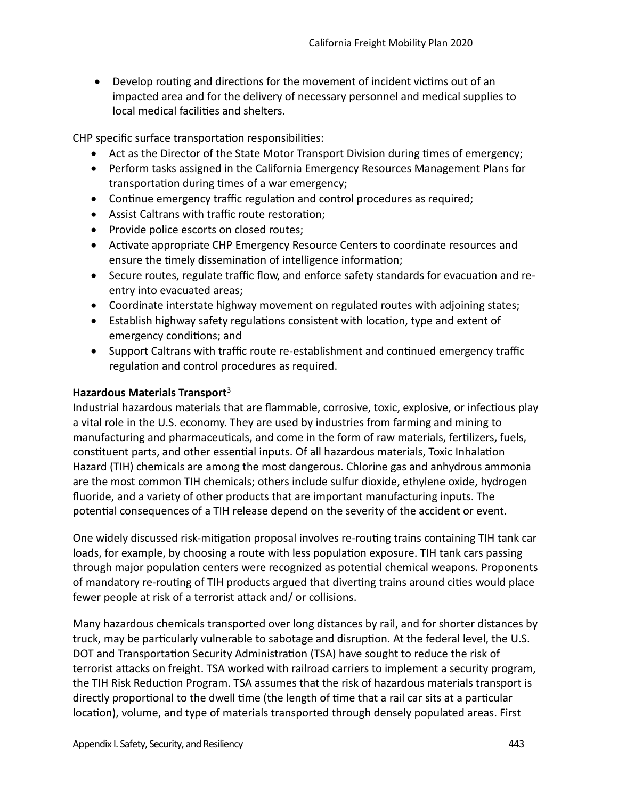• Develop routing and directions for the movement of incident victims out of an impacted area and for the delivery of necessary personnel and medical supplies to local medical facilities and shelters.

CHP specific surface transportation responsibilities:

- Act as the Director of the State Motor Transport Division during times of emergency;
- Perform tasks assigned in the California Emergency Resources Management Plans for transportation during times of a war emergency;
- Continue emergency traffic regulation and control procedures as required;
- $\bullet$  Assist Caltrans with traffic route restoration;
- Provide police escorts on closed routes;
- Activate appropriate CHP Emergency Resource Centers to coordinate resources and ensure the timely dissemination of intelligence information;
- Secure routes, regulate traffic flow, and enforce safety standards for evacuation and reentry into evacuated areas;
- Coordinate interstate highway movement on regulated routes with adjoining states;
- Establish highway safety regulatons consistent with locaton, type and extent of emergency conditons; and
- Support Caltrans with traffic route re-establishment and continued emergency traffic regulation and control procedures as required.

#### **Hazardous Materials Transport**<sup>3</sup>

Industrial hazardous materials that are fammable, corrosive, toxic, explosive, or infectous play a vital role in the U.S. economy. They are used by industries from farming and mining to manufacturing and pharmaceutcals, and come in the form of raw materials, fertlizers, fuels, consttuent parts, and other essental inputs. Of all hazardous materials, Toxic Inhalaton Hazard (TIH) chemicals are among the most dangerous. Chlorine gas and anhydrous ammonia are the most common TIH chemicals; others include sulfur dioxide, ethylene oxide, hydrogen fuoride, and a variety of other products that are important manufacturing inputs. The potental consequences of a TIH release depend on the severity of the accident or event.

One widely discussed risk-mitigation proposal involves re-routing trains containing TIH tank car loads, for example, by choosing a route with less population exposure. TIH tank cars passing through major population centers were recognized as potential chemical weapons. Proponents of mandatory re-routing of TIH products argued that diverting trains around cities would place fewer people at risk of a terrorist attack and/ or collisions.

Many hazardous chemicals transported over long distances by rail, and for shorter distances by truck, may be particularly vulnerable to sabotage and disruption. At the federal level, the U.S. DOT and Transportation Security Administration (TSA) have sought to reduce the risk of terrorist atacks on freight. TSA worked with railroad carriers to implement a security program, the TIH Risk Reduction Program. TSA assumes that the risk of hazardous materials transport is directly proportional to the dwell time (the length of time that a rail car sits at a particular location), volume, and type of materials transported through densely populated areas. First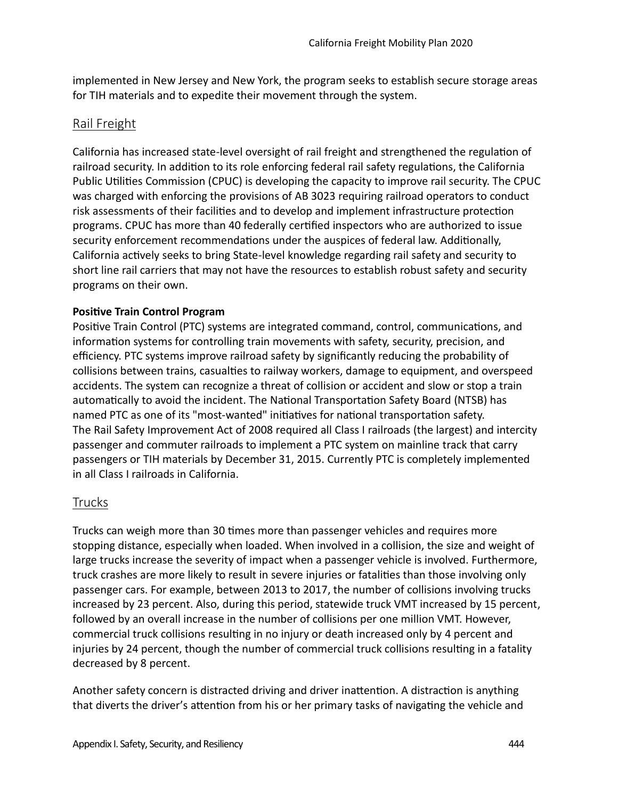implemented in New Jersey and New York, the program seeks to establish secure storage areas for TIH materials and to expedite their movement through the system.

#### Rail Freight

California has increased state-level oversight of rail freight and strengthened the regulaton of railroad security. In addition to its role enforcing federal rail safety regulations, the California Public Utilities Commission (CPUC) is developing the capacity to improve rail security. The CPUC was charged with enforcing the provisions of AB 3023 requiring railroad operators to conduct risk assessments of their facilities and to develop and implement infrastructure protection programs. CPUC has more than 40 federally certfed inspectors who are authorized to issue security enforcement recommendations under the auspices of federal law. Additionally, California actively seeks to bring State-level knowledge regarding rail safety and security to short line rail carriers that may not have the resources to establish robust safety and security programs on their own.

#### **Positve Train Control Program**

Positive Train Control (PTC) systems are integrated command, control, communications, and information systems for controlling train movements with safety, security, precision, and efficiency. PTC systems improve railroad safety by significantly reducing the probability of collisions between trains, casualties to railway workers, damage to equipment, and overspeed accidents. The system can recognize a threat of collision or accident and slow or stop a train automatically to avoid the incident. The National Transportation Safety Board (NTSB) has named PTC as one of its "most-wanted" initiatives for national transportation safety. The Rail Safety Improvement Act of 2008 required all Class I railroads (the largest) and intercity passenger and commuter railroads to implement a PTC system on mainline track that carry passengers or TIH materials by December 31, 2015. Currently PTC is completely implemented in all Class I railroads in California.

# Trucks

Trucks can weigh more than 30 tmes more than passenger vehicles and requires more stopping distance, especially when loaded. When involved in a collision, the size and weight of large trucks increase the severity of impact when a passenger vehicle is involved. Furthermore, truck crashes are more likely to result in severe injuries or fatalites than those involving only passenger cars. For example, between 2013 to 2017, the number of collisions involving trucks increased by 23 percent. Also, during this period, statewide truck VMT increased by 15 percent, followed by an overall increase in the number of collisions per one million VMT. However, commercial truck collisions resulting in no injury or death increased only by 4 percent and injuries by 24 percent, though the number of commercial truck collisions resulting in a fatality decreased by 8 percent.

Another safety concern is distracted driving and driver inattention. A distraction is anything that diverts the driver's attention from his or her primary tasks of navigating the vehicle and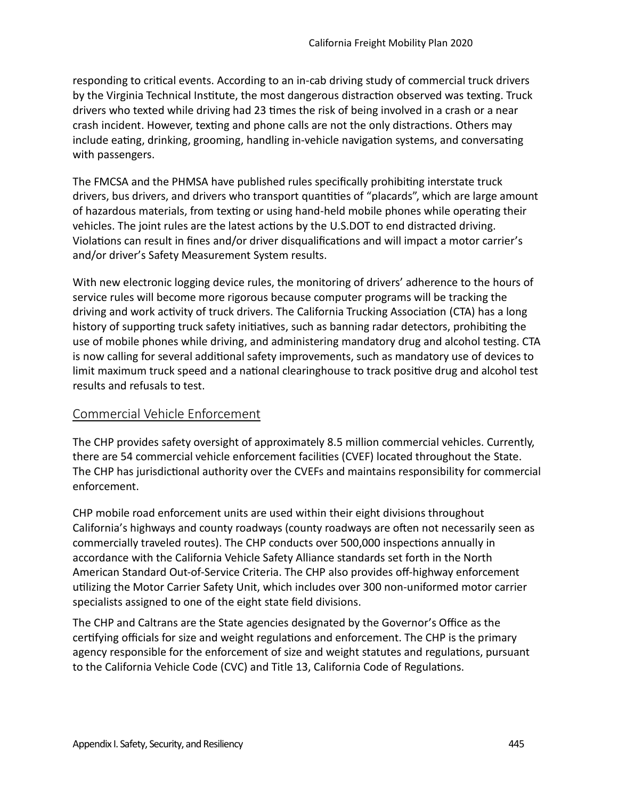responding to critcal events. According to an in-cab driving study of commercial truck drivers by the Virginia Technical Institute, the most dangerous distraction observed was texting. Truck drivers who texted while driving had 23 tmes the risk of being involved in a crash or a near crash incident. However, texting and phone calls are not the only distractions. Others may include eating, drinking, grooming, handling in-vehicle navigation systems, and conversating with passengers.

The FMCSA and the PHMSA have published rules specifcally prohibitng interstate truck drivers, bus drivers, and drivers who transport quantities of "placards", which are large amount of hazardous materials, from texting or using hand-held mobile phones while operating their vehicles. The joint rules are the latest actions by the U.S.DOT to end distracted driving. Violations can result in fines and/or driver disqualifications and will impact a motor carrier's and/or driver's Safety Measurement System results.

With new electronic logging device rules, the monitoring of drivers' adherence to the hours of service rules will become more rigorous because computer programs will be tracking the driving and work activity of truck drivers. The California Trucking Association (CTA) has a long history of supporting truck safety initiatives, such as banning radar detectors, prohibiting the use of mobile phones while driving, and administering mandatory drug and alcohol testng. CTA is now calling for several additonal safety improvements, such as mandatory use of devices to limit maximum truck speed and a natonal clearinghouse to track positve drug and alcohol test results and refusals to test.

# Commercial Vehicle Enforcement

The CHP provides safety oversight of approximately 8.5 million commercial vehicles. Currently, there are 54 commercial vehicle enforcement facilites (CVEF) located throughout the State. The CHP has jurisdictional authority over the CVEFs and maintains responsibility for commercial enforcement.

CHP mobile road enforcement units are used within their eight divisions throughout California's highways and county roadways (county roadways are ofen not necessarily seen as commercially traveled routes). The CHP conducts over 500,000 inspectons annually in accordance with the California Vehicle Safety Alliance standards set forth in the North American Standard Out-of-Service Criteria. The CHP also provides off-highway enforcement utlizing the Motor Carrier Safety Unit, which includes over 300 non-uniformed motor carrier specialists assigned to one of the eight state feld divisions.

The CHP and Caltrans are the State agencies designated by the Governor's Office as the certifying officials for size and weight regulations and enforcement. The CHP is the primary agency responsible for the enforcement of size and weight statutes and regulatons, pursuant to the California Vehicle Code (CVC) and Title 13, California Code of Regulatons.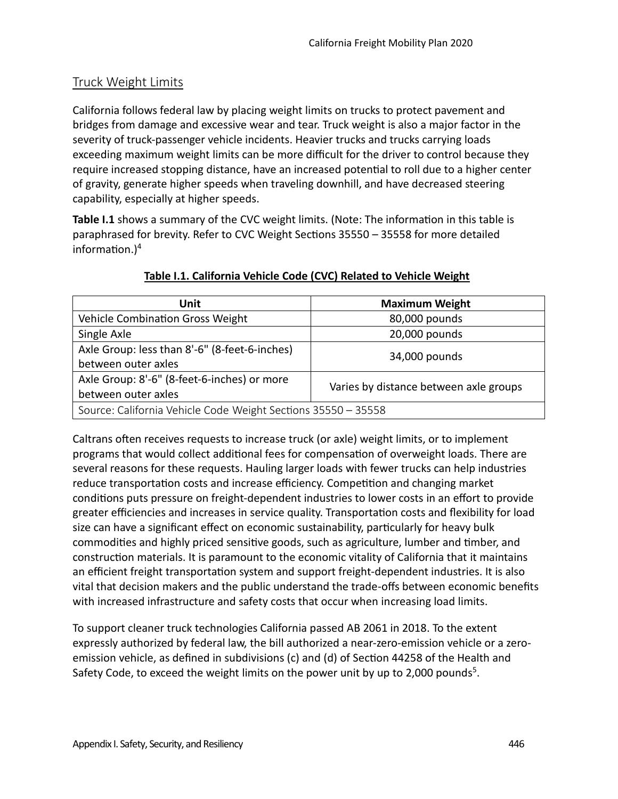# Truck Weight Limits

California follows federal law by placing weight limits on trucks to protect pavement and bridges from damage and excessive wear and tear. Truck weight is also a major factor in the severity of truck-passenger vehicle incidents. Heavier trucks and trucks carrying loads exceeding maximum weight limits can be more difficult for the driver to control because they require increased stopping distance, have an increased potental to roll due to a higher center of gravity, generate higher speeds when traveling downhill, and have decreased steering capability, especially at higher speeds.

Table **I.1** shows a summary of the CVC weight limits. (Note: The information in this table is paraphrased for brevity. Refer to CVC Weight Sections 35550 - 35558 for more detailed information. $)^4$ 

| Unit                                                          | <b>Maximum Weight</b>                  |  |
|---------------------------------------------------------------|----------------------------------------|--|
| Vehicle Combination Gross Weight                              | 80,000 pounds                          |  |
| Single Axle                                                   | 20,000 pounds                          |  |
| Axle Group: less than 8'-6" (8-feet-6-inches)                 | 34,000 pounds                          |  |
| between outer axles                                           |                                        |  |
| Axle Group: 8'-6" (8-feet-6-inches) or more                   | Varies by distance between axle groups |  |
| between outer axles                                           |                                        |  |
| Source: California Vehicle Code Weight Sections 35550 - 35558 |                                        |  |

# **Table I.1. California Vehicle Code (CVC) Related to Vehicle Weight**

Caltrans often receives requests to increase truck (or axle) weight limits, or to implement programs that would collect additonal fees for compensaton of overweight loads. There are several reasons for these requests. Hauling larger loads with fewer trucks can help industries reduce transportation costs and increase efficiency. Competition and changing market conditons puts pressure on freight-dependent industries to lower costs in an efort to provide greater efficiencies and increases in service quality. Transportation costs and flexibility for load size can have a significant effect on economic sustainability, particularly for heavy bulk commodites and highly priced sensitve goods, such as agriculture, lumber and tmber, and construction materials. It is paramount to the economic vitality of California that it maintains an efficient freight transportation system and support freight-dependent industries. It is also vital that decision makers and the public understand the trade-ofs between economic benefts with increased infrastructure and safety costs that occur when increasing load limits.

To support cleaner truck technologies California passed AB 2061 in 2018. To the extent expressly authorized by federal law, the bill authorized a near-zero-emission vehicle or a zeroemission vehicle, as defned in subdivisions (c) and (d) of Secton 44258 of the Health and Safety Code, to exceed the weight limits on the power unit by up to 2,000 pounds<sup>5</sup>.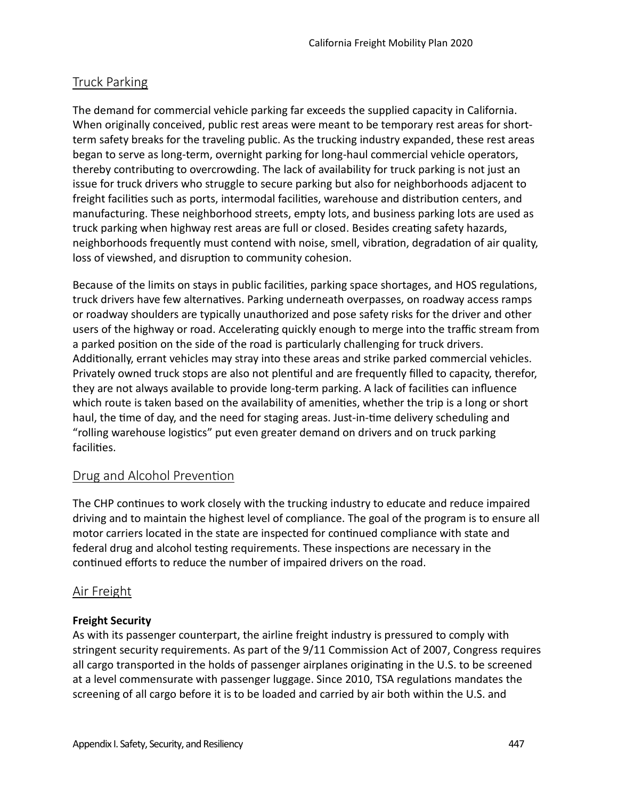# Truck Parking

The demand for commercial vehicle parking far exceeds the supplied capacity in California. When originally conceived, public rest areas were meant to be temporary rest areas for shortterm safety breaks for the traveling public. As the trucking industry expanded, these rest areas began to serve as long-term, overnight parking for long-haul commercial vehicle operators, thereby contributng to overcrowding. The lack of availability for truck parking is not just an issue for truck drivers who struggle to secure parking but also for neighborhoods adjacent to freight facilities such as ports, intermodal facilities, warehouse and distribution centers, and manufacturing. These neighborhood streets, empty lots, and business parking lots are used as truck parking when highway rest areas are full or closed. Besides creatng safety hazards, neighborhoods frequently must contend with noise, smell, vibration, degradation of air quality, loss of viewshed, and disruption to community cohesion.

Because of the limits on stays in public facilites, parking space shortages, and HOS regulatons, truck drivers have few alternatives. Parking underneath overpasses, on roadway access ramps or roadway shoulders are typically unauthorized and pose safety risks for the driver and other users of the highway or road. Accelerating quickly enough to merge into the traffic stream from a parked position on the side of the road is particularly challenging for truck drivers. Additonally, errant vehicles may stray into these areas and strike parked commercial vehicles. Privately owned truck stops are also not plentful and are frequently flled to capacity, therefor, they are not always available to provide long-term parking. A lack of facilities can influence which route is taken based on the availability of amenities, whether the trip is a long or short haul, the tme of day, and the need for staging areas. Just-in-tme delivery scheduling and "rolling warehouse logistics" put even greater demand on drivers and on truck parking facilites.

# Drug and Alcohol Preventon

The CHP continues to work closely with the trucking industry to educate and reduce impaired driving and to maintain the highest level of compliance. The goal of the program is to ensure all motor carriers located in the state are inspected for contnued compliance with state and federal drug and alcohol testng requirements. These inspectons are necessary in the continued efforts to reduce the number of impaired drivers on the road.

# Air Freight

# **Freight Security**

As with its passenger counterpart, the airline freight industry is pressured to comply with stringent security requirements. As part of the 9/11 Commission Act of 2007, Congress requires all cargo transported in the holds of passenger airplanes originating in the U.S. to be screened at a level commensurate with passenger luggage. Since 2010, TSA regulatons mandates the screening of all cargo before it is to be loaded and carried by air both within the U.S. and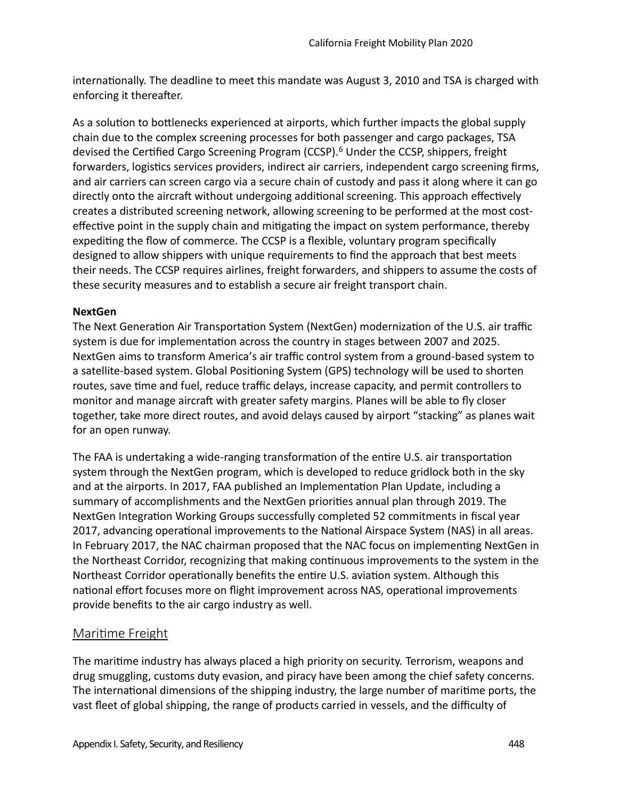internationally. The deadline to meet this mandate was August 3, 2010 and TSA is charged with enforcing it thereafter.

As a solution to bottlenecks experienced at airports, which further impacts the global supply chain due to the complex screening processes for both passenger and cargo packages, TSA devised the Certified Cargo Screening Program (CCSP).<sup>6</sup> Under the CCSP, shippers, freight forwarders, logistics services providers, indirect air carriers, independent cargo screening firms, and air carriers can screen cargo via a secure chain of custody and pass it along where it can go directly onto the aircraft without undergoing additional screening. This approach effectively creates a distributed screening network, allowing screening to be performed at the most costeffective point in the supply chain and mitigating the impact on system performance, thereby expediting the flow of commerce. The CCSP is a flexible, voluntary program specifically designed to allow shippers with unique requirements to fnd the approach that best meets their needs. The CCSP requires airlines, freight forwarders, and shippers to assume the costs of these security measures and to establish a secure air freight transport chain.

#### **NextGen**

The Next Generation Air Transportation System (NextGen) modernization of the U.S. air traffic system is due for implementation across the country in stages between 2007 and 2025. NextGen aims to transform America's air traffic control system from a ground-based system to a satellite-based system. Global Positoning System (GPS) technology will be used to shorten routes, save time and fuel, reduce traffic delays, increase capacity, and permit controllers to monitor and manage aircraft with greater safety margins. Planes will be able to fly closer together, take more direct routes, and avoid delays caused by airport "stacking" as planes wait for an open runway.

The FAA is undertaking a wide-ranging transformation of the entire U.S. air transportation system through the NextGen program, which is developed to reduce gridlock both in the sky and at the airports. In 2017, FAA published an Implementation Plan Update, including a summary of accomplishments and the NextGen priorites annual plan through 2019. The NextGen Integration Working Groups successfully completed 52 commitments in fiscal year 2017, advancing operatonal improvements to the Natonal Airspace System (NAS) in all areas. In February 2017, the NAC chairman proposed that the NAC focus on implementing NextGen in the Northeast Corridor, recognizing that making continuous improvements to the system in the Northeast Corridor operatonally benefts the entre U.S. aviaton system. Although this national effort focuses more on flight improvement across NAS, operational improvements provide benefts to the air cargo industry as well.

# Maritme Freight

The maritme industry has always placed a high priority on security. Terrorism, weapons and drug smuggling, customs duty evasion, and piracy have been among the chief safety concerns. The international dimensions of the shipping industry, the large number of maritime ports, the vast fleet of global shipping, the range of products carried in vessels, and the difficulty of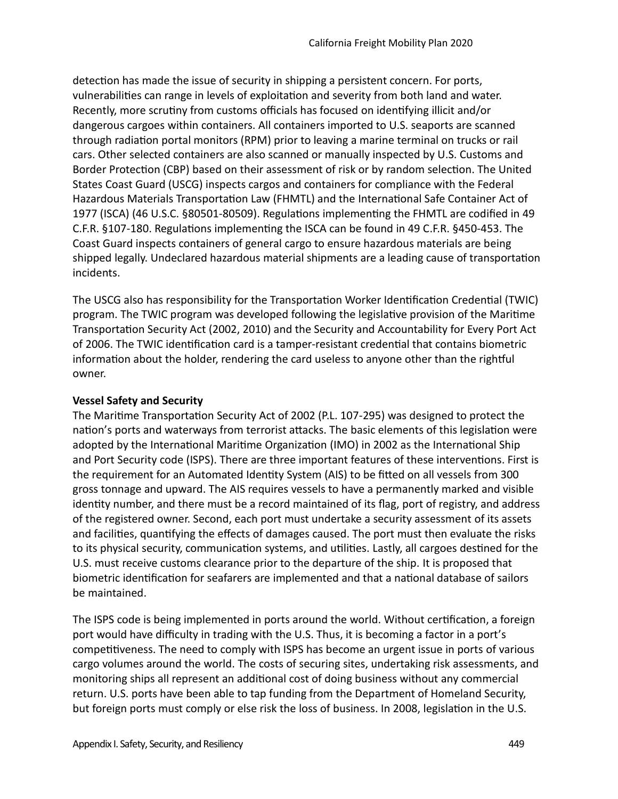detecton has made the issue of security in shipping a persistent concern. For ports, vulnerabilites can range in levels of exploitaton and severity from both land and water. Recently, more scrutiny from customs officials has focused on identifying illicit and/or dangerous cargoes within containers. All containers imported to U.S. seaports are scanned through radiaton portal monitors (RPM) prior to leaving a marine terminal on trucks or rail cars. Other selected containers are also scanned or manually inspected by U.S. Customs and Border Protection (CBP) based on their assessment of risk or by random selection. The United States Coast Guard (USCG) inspects cargos and containers for compliance with the Federal Hazardous Materials Transportation Law (FHMTL) and the International Safe Container Act of 1977 (ISCA) (46 U.S.C. §80501-80509). Regulatons implementng the FHMTL are codifed in 49 C.F.R. §107-180. Regulatons implementng the ISCA can be found in 49 C.F.R. §450-453. The Coast Guard inspects containers of general cargo to ensure hazardous materials are being shipped legally. Undeclared hazardous material shipments are a leading cause of transportaton incidents.

The USCG also has responsibility for the Transportation Worker Identification Credential (TWIC) program. The TWIC program was developed following the legislatve provision of the Maritme Transportation Security Act (2002, 2010) and the Security and Accountability for Every Port Act of 2006. The TWIC identification card is a tamper-resistant credential that contains biometric information about the holder, rendering the card useless to anyone other than the rightful owner.

#### **Vessel Safety and Security**

The Maritme Transportaton Security Act of 2002 (P.L. 107-295) was designed to protect the nation's ports and waterways from terrorist attacks. The basic elements of this legislation were adopted by the International Maritime Organization (IMO) in 2002 as the International Ship and Port Security code (ISPS). There are three important features of these interventons. First is the requirement for an Automated Identity System (AIS) to be fitted on all vessels from 300 gross tonnage and upward. The AIS requires vessels to have a permanently marked and visible identty number, and there must be a record maintained of its fag, port of registry, and address of the registered owner. Second, each port must undertake a security assessment of its assets and facilities, quantifying the effects of damages caused. The port must then evaluate the risks to its physical security, communication systems, and utilities. Lastly, all cargoes destined for the U.S. must receive customs clearance prior to the departure of the ship. It is proposed that biometric identification for seafarers are implemented and that a national database of sailors be maintained.

The ISPS code is being implemented in ports around the world. Without certification, a foreign port would have difficulty in trading with the U.S. Thus, it is becoming a factor in a port's competitiveness. The need to comply with ISPS has become an urgent issue in ports of various cargo volumes around the world. The costs of securing sites, undertaking risk assessments, and monitoring ships all represent an additonal cost of doing business without any commercial return. U.S. ports have been able to tap funding from the Department of Homeland Security, but foreign ports must comply or else risk the loss of business. In 2008, legislaton in the U.S.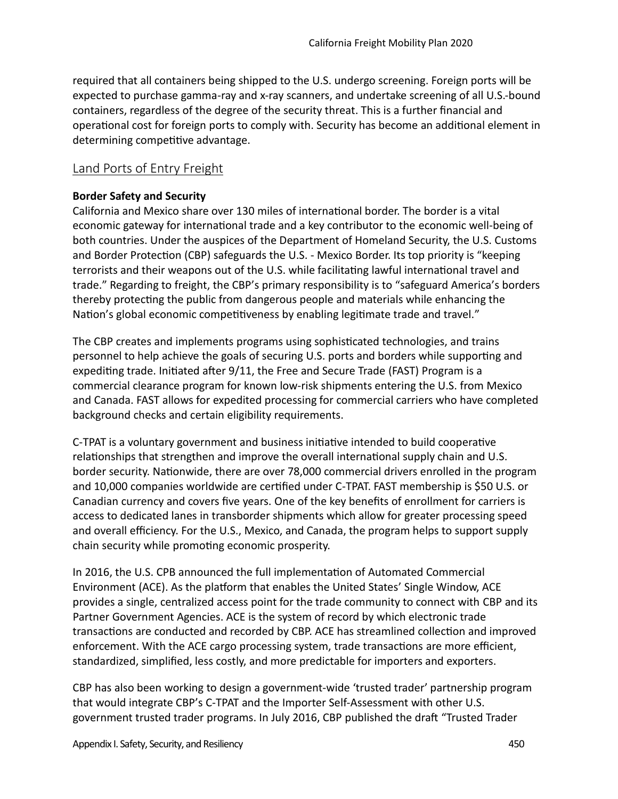required that all containers being shipped to the U.S. undergo screening. Foreign ports will be expected to purchase gamma-ray and x-ray scanners, and undertake screening of all U.S.-bound containers, regardless of the degree of the security threat. This is a further fnancial and operatonal cost for foreign ports to comply with. Security has become an additonal element in determining competitive advantage.

# Land Ports of Entry Freight

#### **Border Safety and Security**

California and Mexico share over 130 miles of internatonal border. The border is a vital economic gateway for internatonal trade and a key contributor to the economic well-being of both countries. Under the auspices of the Department of Homeland Security, the U.S. Customs and Border Protection (CBP) safeguards the U.S. - Mexico Border. Its top priority is "keeping terrorists and their weapons out of the U.S. while facilitatng lawful internatonal travel and trade." Regarding to freight, the CBP's primary responsibility is to "safeguard America's borders thereby protecting the public from dangerous people and materials while enhancing the Nation's global economic competitiveness by enabling legitimate trade and travel."

The CBP creates and implements programs using sophistcated technologies, and trains personnel to help achieve the goals of securing U.S. ports and borders while supportng and expediting trade. Initiated after 9/11, the Free and Secure Trade (FAST) Program is a commercial clearance program for known low-risk shipments entering the U.S. from Mexico and Canada. FAST allows for expedited processing for commercial carriers who have completed background checks and certain eligibility requirements.

C-TPAT is a voluntary government and business initatve intended to build cooperatve relationships that strengthen and improve the overall international supply chain and U.S. border security. Natonwide, there are over 78,000 commercial drivers enrolled in the program and 10,000 companies worldwide are certified under C-TPAT. FAST membership is \$50 U.S. or Canadian currency and covers fve years. One of the key benefts of enrollment for carriers is access to dedicated lanes in transborder shipments which allow for greater processing speed and overall efficiency. For the U.S., Mexico, and Canada, the program helps to support supply chain security while promoting economic prosperity.

In 2016, the U.S. CPB announced the full implementaton of Automated Commercial Environment (ACE). As the platform that enables the United States' Single Window, ACE provides a single, centralized access point for the trade community to connect with CBP and its Partner Government Agencies. ACE is the system of record by which electronic trade transactions are conducted and recorded by CBP. ACE has streamlined collection and improved enforcement. With the ACE cargo processing system, trade transactions are more efficient, standardized, simplifed, less costly, and more predictable for importers and exporters.

CBP has also been working to design a government-wide 'trusted trader' partnership program that would integrate CBP's C-TPAT and the Importer Self-Assessment with other U.S. government trusted trader programs. In July 2016, CBP published the draft "Trusted Trader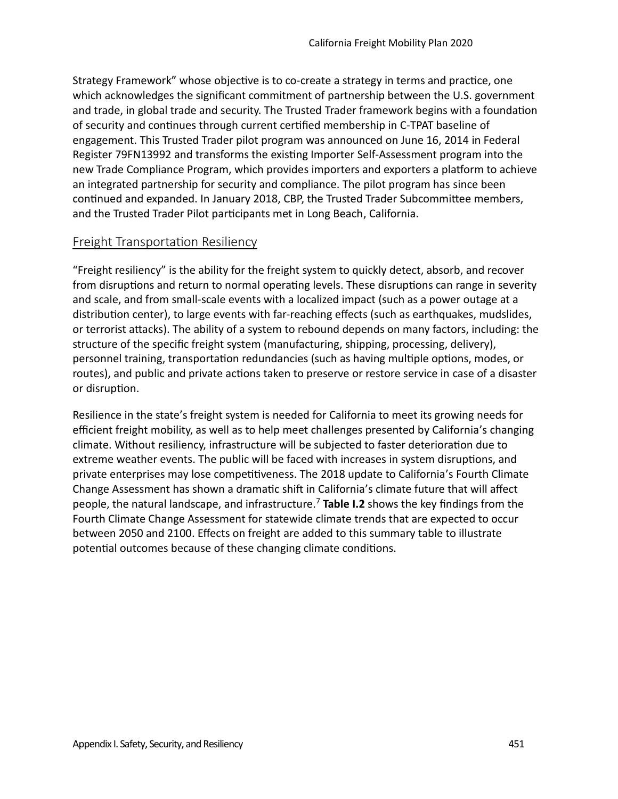Strategy Framework" whose objective is to co-create a strategy in terms and practice, one which acknowledges the significant commitment of partnership between the U.S. government and trade, in global trade and security. The Trusted Trader framework begins with a foundaton of security and continues through current certified membership in C-TPAT baseline of engagement. This Trusted Trader pilot program was announced on June 16, 2014 in Federal Register 79FN13992 and transforms the existng Importer Self-Assessment program into the new Trade Compliance Program, which provides importers and exporters a platform to achieve an integrated partnership for security and compliance. The pilot program has since been continued and expanded. In January 2018, CBP, the Trusted Trader Subcommittee members, and the Trusted Trader Pilot partcipants met in Long Beach, California.

#### Freight Transportation Resiliency

"Freight resiliency" is the ability for the freight system to quickly detect, absorb, and recover from disruptions and return to normal operating levels. These disruptions can range in severity and scale, and from small-scale events with a localized impact (such as a power outage at a distribution center), to large events with far-reaching effects (such as earthquakes, mudslides, or terrorist atacks). The ability of a system to rebound depends on many factors, including: the structure of the specific freight system (manufacturing, shipping, processing, delivery), personnel training, transportation redundancies (such as having multiple options, modes, or routes), and public and private actions taken to preserve or restore service in case of a disaster or disruption.

Resilience in the state's freight system is needed for California to meet its growing needs for efficient freight mobility, as well as to help meet challenges presented by California's changing climate. Without resiliency, infrastructure will be subjected to faster deterioraton due to extreme weather events. The public will be faced with increases in system disruptons, and private enterprises may lose competitiveness. The 2018 update to California's Fourth Climate Change Assessment has shown a dramatic shift in California's climate future that will affect people, the natural landscape, and infrastructure.<sup>7</sup>**Table I.2** shows the key fndings from the Fourth Climate Change Assessment for statewide climate trends that are expected to occur between 2050 and 2100. Efects on freight are added to this summary table to illustrate potential outcomes because of these changing climate conditions.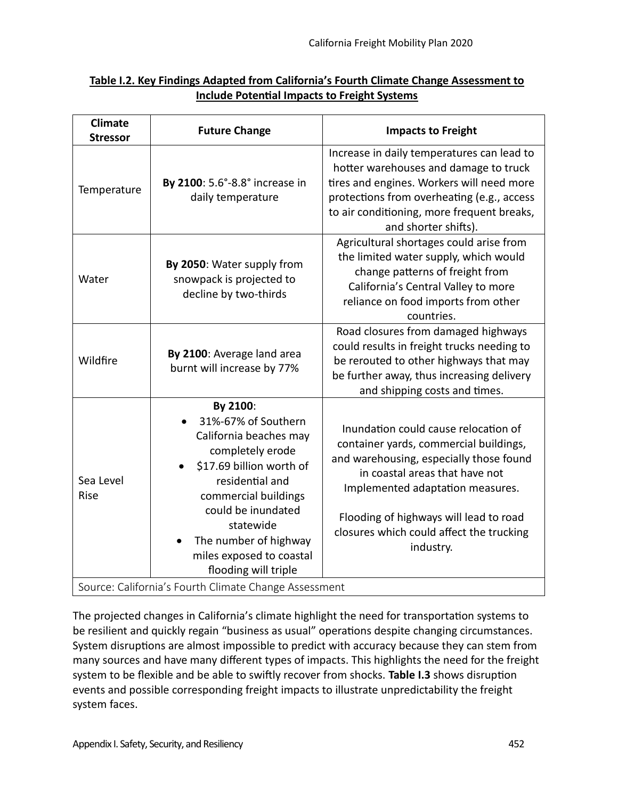| Table I.2. Key Findings Adapted from California's Fourth Climate Change Assessment to |  |
|---------------------------------------------------------------------------------------|--|
| Include Potential Impacts to Freight Systems                                          |  |

| <b>Climate</b><br><b>Stressor</b>                                                                                                                                                                                                                                                         | <b>Future Change</b>                                                            | <b>Impacts to Freight</b>                                                                                                                                                                                                                                                                          |
|-------------------------------------------------------------------------------------------------------------------------------------------------------------------------------------------------------------------------------------------------------------------------------------------|---------------------------------------------------------------------------------|----------------------------------------------------------------------------------------------------------------------------------------------------------------------------------------------------------------------------------------------------------------------------------------------------|
| Temperature                                                                                                                                                                                                                                                                               | By 2100: 5.6°-8.8° increase in<br>daily temperature                             | Increase in daily temperatures can lead to<br>hotter warehouses and damage to truck<br>tires and engines. Workers will need more<br>protections from overheating (e.g., access<br>to air conditioning, more frequent breaks,<br>and shorter shifts).                                               |
| Water                                                                                                                                                                                                                                                                                     | By 2050: Water supply from<br>snowpack is projected to<br>decline by two-thirds | Agricultural shortages could arise from<br>the limited water supply, which would<br>change patterns of freight from<br>California's Central Valley to more<br>reliance on food imports from other<br>countries.                                                                                    |
| Wildfire                                                                                                                                                                                                                                                                                  | By 2100: Average land area<br>burnt will increase by 77%                        | Road closures from damaged highways<br>could results in freight trucks needing to<br>be rerouted to other highways that may<br>be further away, thus increasing delivery<br>and shipping costs and times.                                                                                          |
| By 2100:<br>31%-67% of Southern<br>California beaches may<br>completely erode<br>\$17.69 billion worth of<br>Sea Level<br>residential and<br>Rise<br>commercial buildings<br>could be inundated<br>statewide<br>The number of highway<br>miles exposed to coastal<br>flooding will triple |                                                                                 | Inundation could cause relocation of<br>container yards, commercial buildings,<br>and warehousing, especially those found<br>in coastal areas that have not<br>Implemented adaptation measures.<br>Flooding of highways will lead to road<br>closures which could affect the trucking<br>industry. |
| Source: California's Fourth Climate Change Assessment                                                                                                                                                                                                                                     |                                                                                 |                                                                                                                                                                                                                                                                                                    |

The projected changes in California's climate highlight the need for transportation systems to be resilient and quickly regain "business as usual" operations despite changing circumstances. System disruptions are almost impossible to predict with accuracy because they can stem from many sources and have many diferent types of impacts. This highlights the need for the freight system to be fexible and be able to swifly recover from shocks. **Table I.3** shows disrupton events and possible corresponding freight impacts to illustrate unpredictability the freight system faces.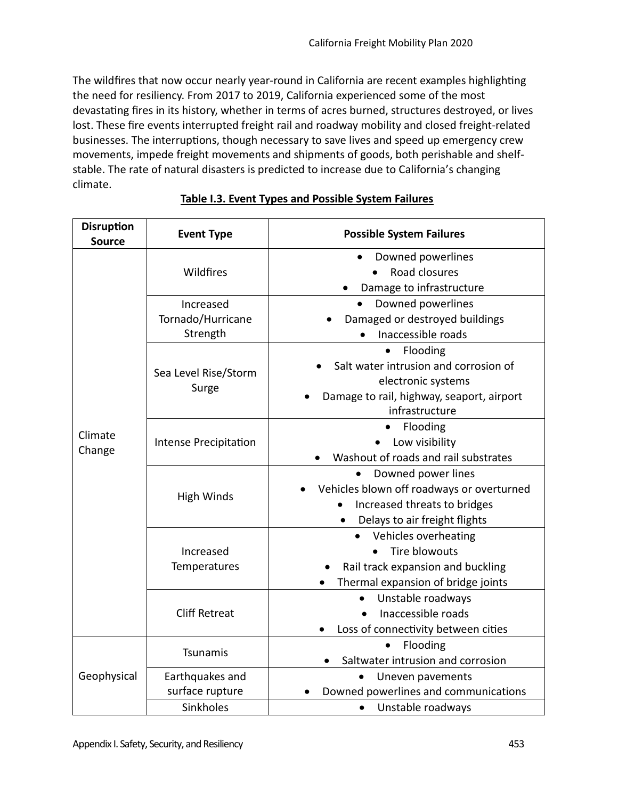The wildfires that now occur nearly year-round in California are recent examples highlighting the need for resiliency. From 2017 to 2019, California experienced some of the most devastatng fres in its history, whether in terms of acres burned, structures destroyed, or lives lost. These fre events interrupted freight rail and roadway mobility and closed freight-related businesses. The interruptions, though necessary to save lives and speed up emergency crew movements, impede freight movements and shipments of goods, both perishable and shelfstable. The rate of natural disasters is predicted to increase due to California's changing climate.

| <b>Disruption</b><br><b>Source</b> | <b>Event Type</b>             | <b>Possible System Failures</b>                        |
|------------------------------------|-------------------------------|--------------------------------------------------------|
|                                    | Wildfires                     | Downed powerlines                                      |
|                                    |                               | Road closures                                          |
|                                    |                               | Damage to infrastructure                               |
|                                    | Increased                     | Downed powerlines                                      |
|                                    | Tornado/Hurricane             | Damaged or destroyed buildings                         |
|                                    | Strength                      | Inaccessible roads                                     |
|                                    | Sea Level Rise/Storm<br>Surge | Flooding                                               |
|                                    |                               | Salt water intrusion and corrosion of                  |
|                                    |                               | electronic systems                                     |
|                                    |                               | Damage to rail, highway, seaport, airport              |
|                                    |                               | infrastructure                                         |
| Climate                            | <b>Intense Precipitation</b>  | Flooding                                               |
| Change                             |                               | Low visibility                                         |
|                                    |                               | Washout of roads and rail substrates                   |
|                                    | <b>High Winds</b>             | Downed power lines                                     |
|                                    |                               | Vehicles blown off roadways or overturned<br>$\bullet$ |
|                                    |                               | Increased threats to bridges                           |
|                                    |                               | Delays to air freight flights                          |
|                                    |                               | Vehicles overheating                                   |
|                                    | Increased<br>Temperatures     | Tire blowouts                                          |
|                                    |                               | Rail track expansion and buckling                      |
|                                    |                               | Thermal expansion of bridge joints                     |
|                                    | <b>Cliff Retreat</b>          | Unstable roadways                                      |
|                                    |                               | Inaccessible roads                                     |
|                                    |                               | Loss of connectivity between cities                    |
| Geophysical                        | Tsunamis                      | Flooding                                               |
|                                    |                               | Saltwater intrusion and corrosion                      |
|                                    | Earthquakes and               | Uneven pavements                                       |
|                                    | surface rupture               | Downed powerlines and communications                   |
|                                    | Sinkholes                     | Unstable roadways<br>$\bullet$                         |

# **Table I.3. Event Types and Possible System Failures**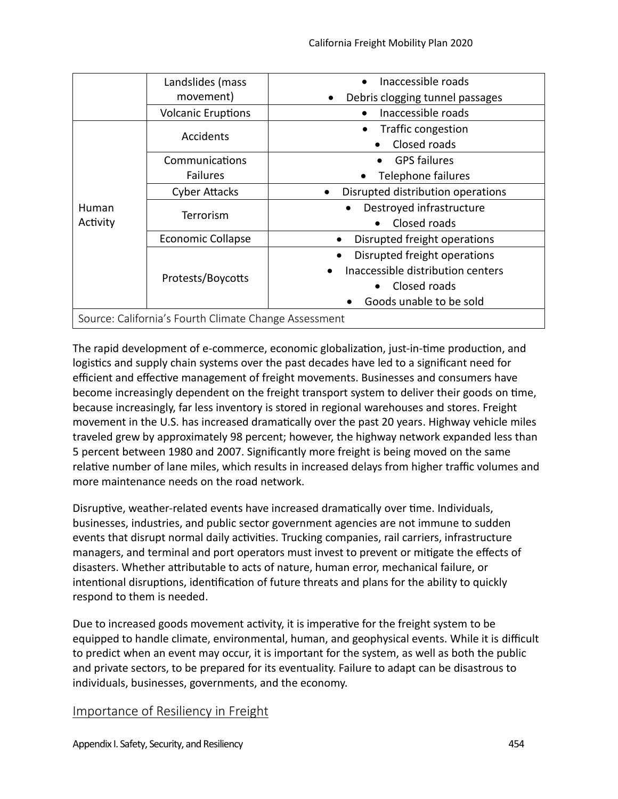|                                                       | Landslides (mass          | Inaccessible roads                    |
|-------------------------------------------------------|---------------------------|---------------------------------------|
|                                                       | movement)                 | Debris clogging tunnel passages       |
|                                                       | <b>Volcanic Eruptions</b> | Inaccessible roads                    |
| Human<br>Activity                                     | <b>Accidents</b>          | Traffic congestion                    |
|                                                       |                           | Closed roads                          |
|                                                       | Communications            | <b>GPS failures</b>                   |
|                                                       | <b>Failures</b>           | Telephone failures                    |
|                                                       | <b>Cyber Attacks</b>      | Disrupted distribution operations     |
|                                                       | Terrorism                 | Destroyed infrastructure<br>$\bullet$ |
|                                                       |                           | Closed roads                          |
|                                                       | <b>Economic Collapse</b>  | Disrupted freight operations          |
|                                                       | Protests/Boycotts         | Disrupted freight operations          |
|                                                       |                           | Inaccessible distribution centers     |
|                                                       |                           | Closed roads                          |
|                                                       |                           | Goods unable to be sold               |
| Source: California's Fourth Climate Change Assessment |                           |                                       |

The rapid development of e-commerce, economic globalization, just-in-time production, and logistics and supply chain systems over the past decades have led to a significant need for efficient and effective management of freight movements. Businesses and consumers have become increasingly dependent on the freight transport system to deliver their goods on tme, because increasingly, far less inventory is stored in regional warehouses and stores. Freight movement in the U.S. has increased dramatically over the past 20 years. Highway vehicle miles traveled grew by approximately 98 percent; however, the highway network expanded less than 5 percent between 1980 and 2007. Signifcantly more freight is being moved on the same relative number of lane miles, which results in increased delays from higher traffic volumes and more maintenance needs on the road network.

Disruptive, weather-related events have increased dramatically over time. Individuals, businesses, industries, and public sector government agencies are not immune to sudden events that disrupt normal daily activities. Trucking companies, rail carriers, infrastructure managers, and terminal and port operators must invest to prevent or mitgate the efects of disasters. Whether atributable to acts of nature, human error, mechanical failure, or intentional disruptions, identification of future threats and plans for the ability to quickly respond to them is needed.

Due to increased goods movement activity, it is imperative for the freight system to be equipped to handle climate, environmental, human, and geophysical events. While it is difficult to predict when an event may occur, it is important for the system, as well as both the public and private sectors, to be prepared for its eventuality. Failure to adapt can be disastrous to individuals, businesses, governments, and the economy.

# Importance of Resiliency in Freight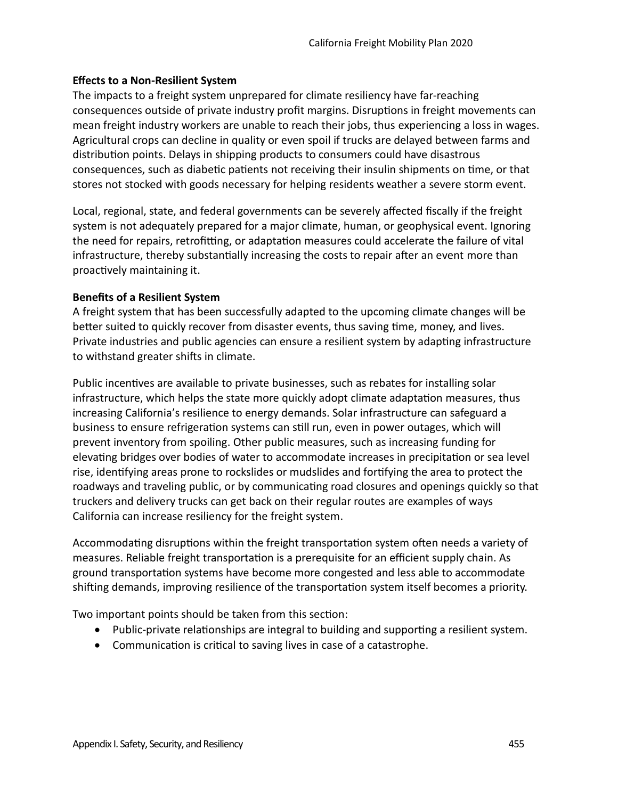#### **Efects to a Non-Resilient System**

The impacts to a freight system unprepared for climate resiliency have far-reaching consequences outside of private industry proft margins. Disruptons in freight movements can mean freight industry workers are unable to reach their jobs, thus experiencing a loss in wages. Agricultural crops can decline in quality or even spoil if trucks are delayed between farms and distribution points. Delays in shipping products to consumers could have disastrous consequences, such as diabetic patients not receiving their insulin shipments on time, or that stores not stocked with goods necessary for helping residents weather a severe storm event.

Local, regional, state, and federal governments can be severely affected fiscally if the freight system is not adequately prepared for a major climate, human, or geophysical event. Ignoring the need for repairs, retrofitting, or adaptation measures could accelerate the failure of vital infrastructure, thereby substantially increasing the costs to repair after an event more than proactively maintaining it.

#### **Benefits of a Resilient System**

A freight system that has been successfully adapted to the upcoming climate changes will be better suited to quickly recover from disaster events, thus saving time, money, and lives. Private industries and public agencies can ensure a resilient system by adapting infrastructure to withstand greater shifts in climate.

Public incentves are available to private businesses, such as rebates for installing solar infrastructure, which helps the state more quickly adopt climate adaptation measures, thus increasing California's resilience to energy demands. Solar infrastructure can safeguard a business to ensure refrigeration systems can still run, even in power outages, which will prevent inventory from spoiling. Other public measures, such as increasing funding for elevating bridges over bodies of water to accommodate increases in precipitation or sea level rise, identfying areas prone to rockslides or mudslides and fortfying the area to protect the roadways and traveling public, or by communicating road closures and openings quickly so that truckers and delivery trucks can get back on their regular routes are examples of ways California can increase resiliency for the freight system.

Accommodating disruptions within the freight transportation system often needs a variety of measures. Reliable freight transportation is a prerequisite for an efficient supply chain. As ground transportaton systems have become more congested and less able to accommodate shifing demands, improving resilience of the transportaton system itself becomes a priority.

Two important points should be taken from this section:

- Public-private relationships are integral to building and supporting a resilient system.
- Communication is critical to saving lives in case of a catastrophe.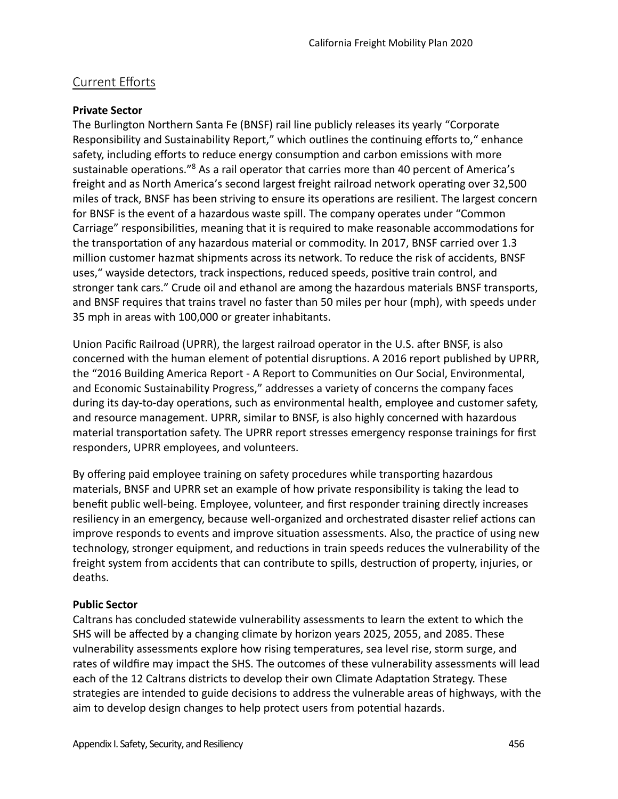# Current Efforts

#### **Private Sector**

The Burlington Northern Santa Fe (BNSF) rail line publicly releases its yearly "Corporate Responsibility and Sustainability Report," which outlines the continuing efforts to," enhance safety, including efforts to reduce energy consumption and carbon emissions with more sustainable operations."<sup>8</sup> As a rail operator that carries more than 40 percent of America's freight and as North America's second largest freight railroad network operating over 32,500 miles of track, BNSF has been striving to ensure its operatons are resilient. The largest concern for BNSF is the event of a hazardous waste spill. The company operates under "Common Carriage" responsibilites, meaning that it is required to make reasonable accommodatons for the transportation of any hazardous material or commodity. In 2017, BNSF carried over 1.3 million customer hazmat shipments across its network. To reduce the risk of accidents, BNSF uses," wayside detectors, track inspections, reduced speeds, positive train control, and stronger tank cars." Crude oil and ethanol are among the hazardous materials BNSF transports, and BNSF requires that trains travel no faster than 50 miles per hour (mph), with speeds under 35 mph in areas with 100,000 or greater inhabitants.

Union Pacific Railroad (UPRR), the largest railroad operator in the U.S. after BNSF, is also concerned with the human element of potental disruptons. A 2016 report published by UPRR, the "2016 Building America Report - A Report to Communites on Our Social, Environmental, and Economic Sustainability Progress," addresses a variety of concerns the company faces during its day-to-day operations, such as environmental health, employee and customer safety, and resource management. UPRR, similar to BNSF, is also highly concerned with hazardous material transportation safety. The UPRR report stresses emergency response trainings for first responders, UPRR employees, and volunteers.

By offering paid employee training on safety procedures while transporting hazardous materials, BNSF and UPRR set an example of how private responsibility is taking the lead to beneft public well-being. Employee, volunteer, and frst responder training directly increases resiliency in an emergency, because well-organized and orchestrated disaster relief actons can improve responds to events and improve situation assessments. Also, the practice of using new technology, stronger equipment, and reductons in train speeds reduces the vulnerability of the freight system from accidents that can contribute to spills, destruction of property, injuries, or deaths.

# **Public Sector**

Caltrans has concluded statewide vulnerability assessments to learn the extent to which the SHS will be afected by a changing climate by horizon years 2025, 2055, and 2085. These vulnerability assessments explore how rising temperatures, sea level rise, storm surge, and rates of wildfre may impact the SHS. The outcomes of these vulnerability assessments will lead each of the 12 Caltrans districts to develop their own Climate Adaptaton Strategy. These strategies are intended to guide decisions to address the vulnerable areas of highways, with the aim to develop design changes to help protect users from potental hazards.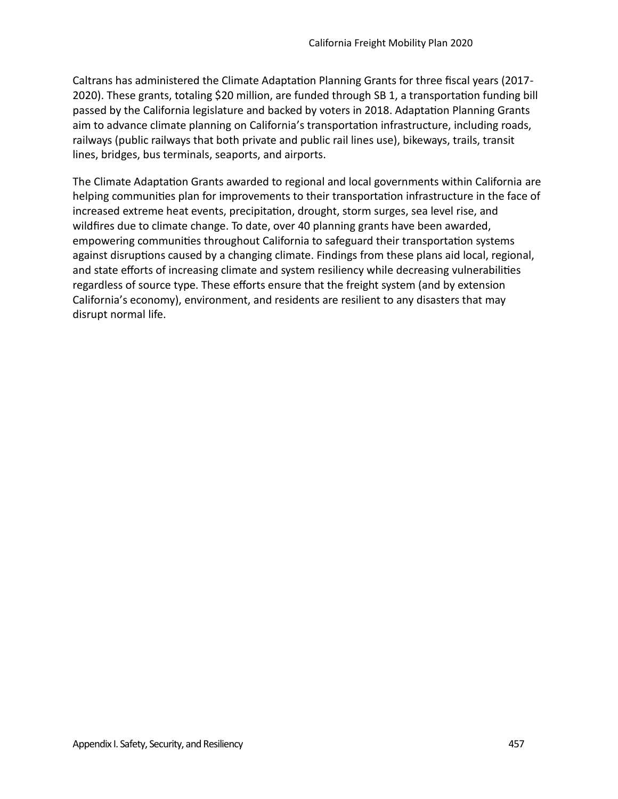Caltrans has administered the Climate Adaptation Planning Grants for three fiscal years (2017-2020). These grants, totaling \$20 million, are funded through SB 1, a transportation funding bill passed by the California legislature and backed by voters in 2018. Adaptation Planning Grants aim to advance climate planning on California's transportation infrastructure, including roads, railways (public railways that both private and public rail lines use), bikeways, trails, transit lines, bridges, bus terminals, seaports, and airports.

The Climate Adaptation Grants awarded to regional and local governments within California are helping communities plan for improvements to their transportation infrastructure in the face of increased extreme heat events, precipitation, drought, storm surges, sea level rise, and wildfres due to climate change. To date, over 40 planning grants have been awarded, empowering communities throughout California to safeguard their transportation systems against disruptions caused by a changing climate. Findings from these plans aid local, regional, and state efforts of increasing climate and system resiliency while decreasing vulnerabilities regardless of source type. These efforts ensure that the freight system (and by extension California's economy), environment, and residents are resilient to any disasters that may disrupt normal life.